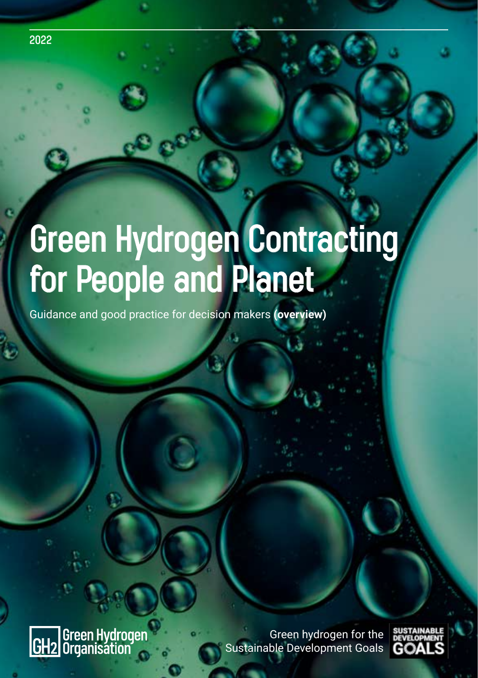

# **Green Hydrogen Contracting for People and Planet**

Guidance and good practice for decision makers **(overview)**

Green Hydrogen<br>Organisation IGH2

Green hydrogen for the Sustainable Development Goals

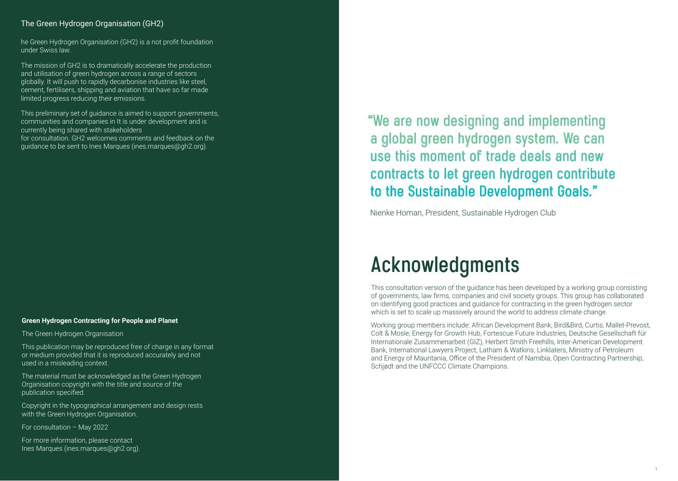#### The Green Hydrogen Organisation (GH2)

he Green Hydrogen Organisation (GH2) is a not profit foundation under Swiss law.

The mission of GH2 is to dramatically accelerate the production and utilisation of green hydrogen across a range of sectors globally. It will push to rapidly decarbonise industries like steel, cement, fertilisers, shipping and aviation that have so far made limited progress reducing their emissions.

This preliminary set of guidance is aimed to support governments, communities and companies in It is under development and is currently being shared with stakeholders for consultation. GH2 welcomes comments and feedback on the guidance to be sent to Ines Marques (ines.marques@gh2.org).

#### **Green Hydrogen Contracting for People and Planet**

The Green Hydrogen Organisation

This publication may be reproduced free of charge in any format or medium provided that it is reproduced accurately and not used in a misleading context.

The material must be acknowledged as the Green Hydrogen Organisation copyright with the title and source of the publication specified.

Copyright in the typographical arrangement and design rests with the Green Hydrogen Organisation.

For consultation – May 2022

For more information, please contact Ines Marques (ines.marques@gh2.org).  **"We are now designing and implementing a global green hydrogen system. We can use this moment of trade deals and new contracts to let green hydrogen contribute to the Sustainable Development Goals."**

Nienke Homan, President, Sustainable Hydrogen Club

## **Acknowledgments**

This consultation version of the guidance has been developed by a working group consisting of governments, law firms, companies and civil society groups. This group has collaborated on identifying good practices and guidance for contracting in the green hydrogen sector which is set to scale up massively around the world to address climate change.

Working group members include: African Development Bank, Bird&Bird, Curtis, Mallet-Prevost, Colt & Mosle, Energy for Growth Hub, Fortescue Future Industries, Deutsche Gesellschaft für Internationale Zusammenarbeit (GIZ), Herbert Smith Freehills, Inter-American Development Bank, International Lawyers Project, Latham & Watkins, Linklaters, Ministry of Petroleum and Energy of Mauritania, Office of the President of Namibia, Open Contracting Partnership, Schjødt and the UNFCCC Climate Champions.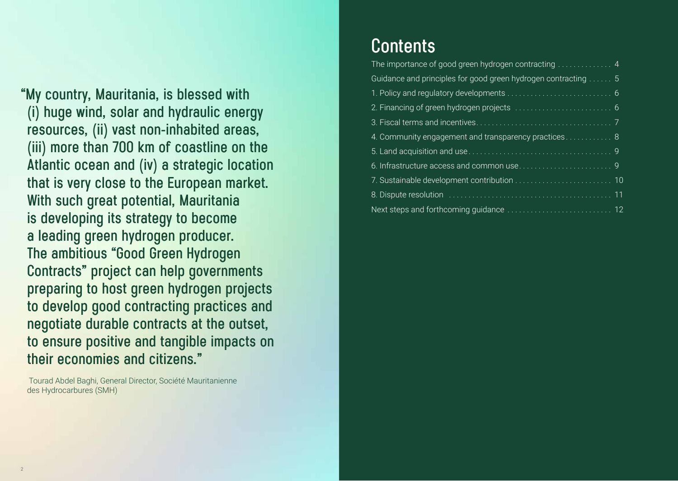**"My country, Mauritania, is blessed with (i) huge wind, solar and hydraulic energy resources, (ii) vast non-inhabited areas, (iii) more than 700 km of coastline on the Atlantic ocean and (iv) a strategic location that is very close to the European market. With such great potential, Mauritania is developing its strategy to become a leading green hydrogen producer. The ambitious "Good Green Hydrogen Contracts" project can help governments preparing to host green hydrogen projects to develop good contracting practices and negotiate durable contracts at the outset, to ensure positive and tangible impacts on their economies and citizens."**

 Tourad Abdel Baghi, General Director, Société Mauritanienne des Hydrocarbures (SMH)

#### **Contents**

| Guidance and principles for good green hydrogen contracting  5 |
|----------------------------------------------------------------|
|                                                                |
|                                                                |
|                                                                |
| 4. Community engagement and transparency practices 8           |
|                                                                |
|                                                                |
|                                                                |
|                                                                |
|                                                                |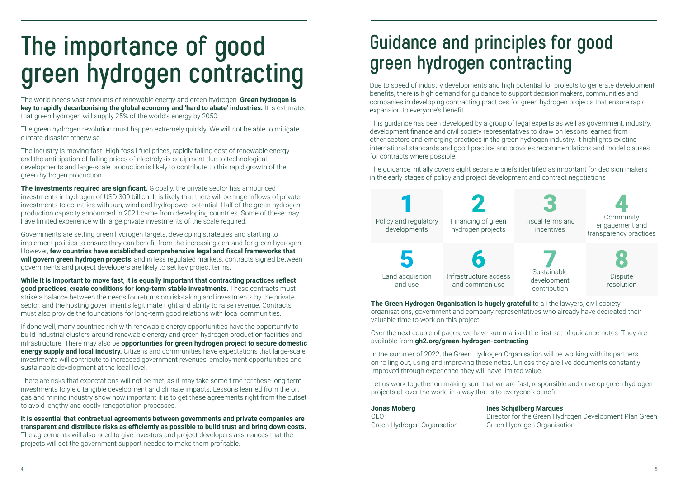# **The importance of good green hydrogen contracting**

The world needs vast amounts of renewable energy and green hydrogen. **Green hydrogen is key to rapidly decarbonising the global economy and 'hard to abate' industries.** It is estimated that green hydrogen will supply 25% of the world's energy by 2050.

The green hydrogen revolution must happen extremely quickly. We will not be able to mitigate climate disaster otherwise.

The industry is moving fast. High fossil fuel prices, rapidly falling cost of renewable energy and the anticipation of falling prices of electrolysis equipment due to technological developments and large-scale production is likely to contribute to this rapid growth of the green hydrogen production.

**The investments required are significant.** Globally, the private sector has announced investments in hydrogen of USD 300 billion. It is likely that there will be huge inflows of private investments to countries with sun, wind and hydropower potential. Half of the green hydrogen production capacity announced in 2021 came from developing countries. Some of these may have limited experience with large private investments of the scale required.

Governments are setting green hydrogen targets, developing strategies and starting to implement policies to ensure they can benefit from the increasing demand for green hydrogen. However, **few countries have established comprehensive legal and fiscal frameworks that will govern green hydrogen projects**, and in less regulated markets, contracts signed between governments and project developers are likely to set key project terms.

**While it is important to move fast**, **it is equally important that contracting practices reflect good practices**, **create conditions for long-term stable investments.** These contracts must strike a balance between the needs for returns on risk-taking and investments by the private sector, and the hosting government's legitimate right and ability to raise revenue. Contracts must also provide the foundations for long-term good relations with local communities.

If done well, many countries rich with renewable energy opportunities have the opportunity to build industrial clusters around renewable energy and green hydrogen production facilities and infrastructure. There may also be **opportunities for green hydrogen project to secure domestic energy supply and local industry.** Citizens and communities have expectations that large-scale investments will contribute to increased government revenues, employment opportunities and sustainable development at the local level.

There are risks that expectations will not be met, as it may take some time for these long-term investments to yield tangible development and climate impacts. Lessons learned from the oil, gas and mining industry show how important it is to get these agreements right from the outset to avoid lengthy and costly renegotiation processes.

**It is essential that contractual agreements between governments and private companies are transparent and distribute risks as efficiently as possible to build trust and bring down costs.**  The agreements will also need to give investors and project developers assurances that the projects will get the government support needed to make them profitable.

## **Guidance and principles for good green hydrogen contracting**

Due to speed of industry developments and high potential for projects to generate development benefits, there is high demand for guidance to support decision makers, communities and companies in developing contracting practices for green hydrogen projects that ensure rapid expansion to everyone's benefit.

This guidance has been developed by a group of legal experts as well as government, industry, development finance and civil society representatives to draw on lessons learned from other sectors and emerging practices in the green hydrogen industry. It highlights existing international standards and good practice and provides recommendations and model clauses for contracts where possible.

The guidance initially covers eight separate briefs identified as important for decision makers in the early stages of policy and project development and contract negotiations



**The Green Hydrogen Organisation is hugely grateful** to all the lawyers, civil society organisations, government and company representatives who already have dedicated their valuable time to work on this project.

Over the next couple of pages, we have summarised the first set of guidance notes. They are available from **gh2.org/green-hydrogen-contracting** 

In the summer of 2022, the Green Hydrogen Organisation will be working with its partners on rolling out, using and improving these notes. Unless they are live documents constantly improved through experience, they will have limited value.

Let us work together on making sure that we are fast, responsible and develop green hydrogen projects all over the world in a way that is to everyone's benefit.

#### **Jonas Moberg**

#### **Inês Schjølberg Marques**

CEO Green Hydrogen Organsation Director for the Green Hydrogen Development Plan Green Green Hydrogen Organisation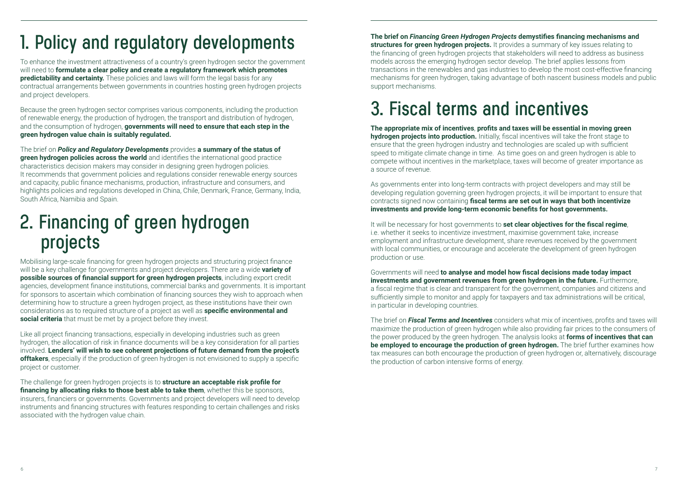## **1. Policy and regulatory developments**

To enhance the investment attractiveness of a country's green hydrogen sector the government will need to **formulate a clear policy and create a regulatory framework which promotes predictability and certainty.** These policies and laws will form the legal basis for any contractual arrangements between governments in countries hosting green hydrogen projects and project developers.

Because the green hydrogen sector comprises various components, including the production of renewable energy, the production of hydrogen, the transport and distribution of hydrogen, and the consumption of hydrogen, **governments will need to ensure that each step in the green hydrogen value chain is suitably regulated.**

The brief on *Policy and Regulatory Developments* provides **a summary of the status of green hydrogen policies across the world** and identifies the international good practice characteristics decision makers may consider in designing green hydrogen policies. It recommends that government policies and regulations consider renewable energy sources and capacity, public finance mechanisms, production, infrastructure and consumers, and highlights policies and regulations developed in China, Chile, Denmark, France, Germany, India, South Africa, Namibia and Spain.

## **2. Financing of green hydrogen projects**

Mobilising large-scale financing for green hydrogen projects and structuring project finance will be a key challenge for governments and project developers. There are a wide **variety of possible sources of financial support for green hydrogen projects**, including export credit agencies, development finance institutions, commercial banks and governments. It is important for sponsors to ascertain which combination of financing sources they wish to approach when determining how to structure a green hydrogen project, as these institutions have their own considerations as to required structure of a project as well as **specific environmental and social criteria** that must be met by a project before they invest.

Like all project financing transactions, especially in developing industries such as green hydrogen, the allocation of risk in finance documents will be a key consideration for all parties involved. **Lenders' will wish to see coherent projections of future demand from the project's offtakers**, especially if the production of green hydrogen is not envisioned to supply a specific project or customer.

The challenge for green hydrogen projects is to **structure an acceptable risk profile for financing by allocating risks to those best able to take them**, whether this be sponsors, insurers, financiers or governments. Governments and project developers will need to develop instruments and financing structures with features responding to certain challenges and risks associated with the hydrogen value chain.

**The brief on** *Financing Green Hydrogen Projects* **demystifies financing mechanisms and structures for green hydrogen projects.** It provides a summary of key issues relating to the financing of green hydrogen projects that stakeholders will need to address as business models across the emerging hydrogen sector develop. The brief applies lessons from transactions in the renewables and gas industries to develop the most cost-effective financing mechanisms for green hydrogen, taking advantage of both nascent business models and public support mechanisms.

## **3. Fiscal terms and incentives**

**The appropriate mix of incentives**, **profits and taxes will be essential in moving green hydrogen projects into production.** Initially, fiscal incentives will take the front stage to ensure that the green hydrogen industry and technologies are scaled up with sufficient speed to mitigate climate change in time. As time goes on and green hydrogen is able to compete without incentives in the marketplace, taxes will become of greater importance as a source of revenue.

As governments enter into long-term contracts with project developers and may still be developing regulation governing green hydrogen projects, it will be important to ensure that contracts signed now containing **fiscal terms are set out in ways that both incentivize investments and provide long-term economic benefits for host governments.** 

It will be necessary for host governments to **set clear objectives for the fiscal regime**, i.e. whether it seeks to incentivize investment, maximise government take, increase employment and infrastructure development, share revenues received by the government with local communities, or encourage and accelerate the development of green hydrogen production or use.

Governments will need **to analyse and model how fiscal decisions made today impact investments and government revenues from green hydrogen in the future.** Furthermore, a fiscal regime that is clear and transparent for the government, companies and citizens and sufficiently simple to monitor and apply for taxpayers and tax administrations will be critical, in particular in developing countries.

The brief on *Fiscal Terms and Incentives* considers what mix of incentives, profits and taxes will maximize the production of green hydrogen while also providing fair prices to the consumers of the power produced by the green hydrogen. The analysis looks at **forms of incentives that can be employed to encourage the production of green hydrogen.** The brief further examines how tax measures can both encourage the production of green hydrogen or, alternatively, discourage the production of carbon intensive forms of energy.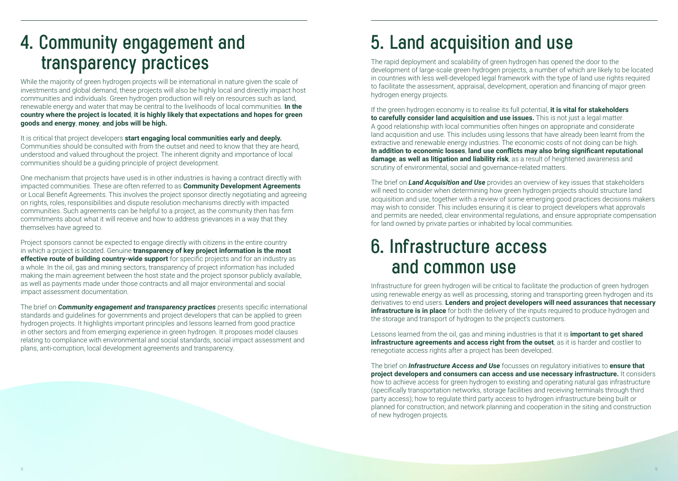#### **4. Community engagement and transparency practices**

While the majority of green hydrogen projects will be international in nature given the scale of investments and global demand, these projects will also be highly local and directly impact host communities and individuals. Green hydrogen production will rely on resources such as land, renewable energy and water that may be central to the livelihoods of local communities. **In the country where the project is located**, **it is highly likely that expectations and hopes for green goods and energy**, **money**, **and jobs will be high.**

It is critical that project developers **start engaging local communities early and deeply.**  Communities should be consulted with from the outset and need to know that they are heard, understood and valued throughout the project. The inherent dignity and importance of local communities should be a guiding principle of project development.

One mechanism that projects have used is in other industries is having a contract directly with impacted communities. These are often referred to as **Community Development Agreements** or Local Benefit Agreements. This involves the project sponsor directly negotiating and agreeing on rights, roles, responsibilities and dispute resolution mechanisms directly with impacted communities. Such agreements can be helpful to a project, as the community then has firm commitments about what it will receive and how to address grievances in a way that they themselves have agreed to.

Project sponsors cannot be expected to engage directly with citizens in the entire country in which a project is located. Genuine **transparency of key project information is the most effective route of building country-wide support** for specific projects and for an industry as a whole. In the oil, gas and mining sectors, transparency of project information has included making the main agreement between the host state and the project sponsor publicly available, as well as payments made under those contracts and all major environmental and social impact assessment documentation.

The brief on *Community engagement and transparency practices* presents specific international standards and guidelines for governments and project developers that can be applied to green hydrogen projects. It highlights important principles and lessons learned from good practice in other sectors and from emerging experience in green hydrogen. It proposes model clauses relating to compliance with environmental and social standards, social impact assessment and plans, anti-corruption, local development agreements and transparency.

## **5. Land acquisition and use**

The rapid deployment and scalability of green hydrogen has opened the door to the development of large-scale green hydrogen projects, a number of which are likely to be located in countries with less well-developed legal framework with the type of land use rights required to facilitate the assessment, appraisal, development, operation and financing of major green hydrogen energy projects.

If the green hydrogen economy is to realise its full potential, **it is vital for stakeholders to carefully consider land acquisition and use issues.** This is not just a legal matter. A good relationship with local communities often hinges on appropriate and considerate land acquisition and use. This includes using lessons that have already been learnt from the extractive and renewable energy industries. The economic costs of not doing can be high. **In addition to economic losses**, **land use conflicts may also bring significant reputational damage**, **as well as litigation and liability risk**, as a result of heightened awareness and scrutiny of environmental, social and governance-related matters.

The brief on *Land Acquisition and Use* provides an overview of key issues that stakeholders will need to consider when determining how green hydrogen projects should structure land acquisition and use, together with a review of some emerging good practices decisions makers may wish to consider. This includes ensuring it is clear to project developers what approvals and permits are needed, clear environmental regulations, and ensure appropriate compensation for land owned by private parties or inhabited by local communities.

#### **6. Infrastructure access and common use**

Infrastructure for green hydrogen will be critical to facilitate the production of green hydrogen using renewable energy as well as processing, storing and transporting green hydrogen and its derivatives to end users. **Lenders and project developers will need assurances that necessary infrastructure is in place** for both the delivery of the inputs required to produce hydrogen and the storage and transport of hydrogen to the project's customers.

Lessons learned from the oil, gas and mining industries is that it is **important to get shared infrastructure agreements and access right from the outset**, as it is harder and costlier to renegotiate access rights after a project has been developed.

The brief on *Infrastructure Access and Use* focusses on regulatory initiatives to **ensure that project developers and consumers can access and use necessary infrastructure.** It considers how to achieve access for green hydrogen to existing and operating natural gas infrastructure (specifically transportation networks, storage facilities and receiving terminals through third party access); how to regulate third party access to hydrogen infrastructure being built or planned for construction; and network planning and cooperation in the siting and construction of new hydrogen projects.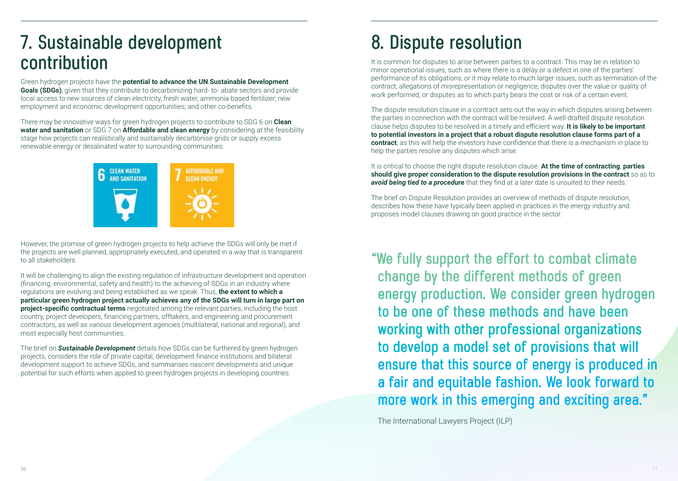### **7. Sustainable development contribution**

Green hydrogen projects have the **potential to advance the UN Sustainable Development Goals (SDGs)**, given that they contribute to decarbonizing hard- to- abate sectors and provide local access to new sources of clean electricity, fresh water, ammonia-based fertilizer; new employment and economic development opportunities; and other co-benefits.

There may be innovative ways for green hydrogen projects to contribute to SDG 6 on **Clean water and sanitation** or SDG 7 on **Affordable and clean energy** by considering at the feasibility stage how projects can realistically and sustainably decarbonise grids or supply excess renewable energy or desalinated water to surrounding communities.



However, the promise of green hydrogen projects to help achieve the SDGs will only be met if the projects are well planned, appropriately executed, and operated in a way that is transparent to all stakeholders.

It will be challenging to align the existing regulation of infrastructure development and operation (financing, environmental, safety and health) to the achieving of SDGs in an industry where regulations are evolving and being established as we speak. Thus, **the extent to which a particular green hydrogen project actually achieves any of the SDGs will turn in large part on project-specific contractual terms** negotiated among the relevant parties, including the host country, project developers, financing partners, offtakers, and engineering and procurement contractors, as well as various development agencies (multilateral, national and regional), and most especially host communities.

The brief on *Sustainable Development* details how SDGs can be furthered by green hydrogen projects, considers the role of private capital, development finance institutions and bilateral development support to achieve SDGs, and summarises nascent developments and unique potential for such efforts when applied to green hydrogen projects in developing countries.

### **8. Dispute resolution**

It is common for disputes to arise between parties to a contract. This may be in relation to minor operational issues, such as where there is a delay or a defect in one of the parties' performance of its obligations, or it may relate to much larger issues, such as termination of the contract, allegations of misrepresentation or negligence, disputes over the value or quality of work performed, or disputes as to which party bears the cost or risk of a certain event.

The dispute resolution clause in a contract sets out the way in which disputes arising between the parties in connection with the contract will be resolved. A well-drafted dispute resolution clause helps disputes to be resolved in a timely and efficient way. **It is likely to be important to potential investors in a project that a robust dispute resolution clause forms part of a contract**, as this will help the investors have confidence that there is a mechanism in place to help the parties resolve any disputes which arise.

It is critical to choose the right dispute resolution clause. **At the time of contracting**, **parties should give proper consideration to the dispute resolution provisions in the contract** so as to **avoid being tied to a procedure** that they find at a later date is unsuited to their needs.

The brief on Dispute Resolution provides an overview of methods of dispute resolution, describes how these have typically been applied in practices in the energy industry and proposes model clauses drawing on good practice in the sector.

**"We fully support the effort to combat climate change by the different methods of green energy production. We consider green hydrogen to be one of these methods and have been working with other professional organizations to develop a model set of provisions that will ensure that this source of energy is produced in a fair and equitable fashion. We look forward to more work in this emerging and exciting area."**

The International Lawyers Project (ILP)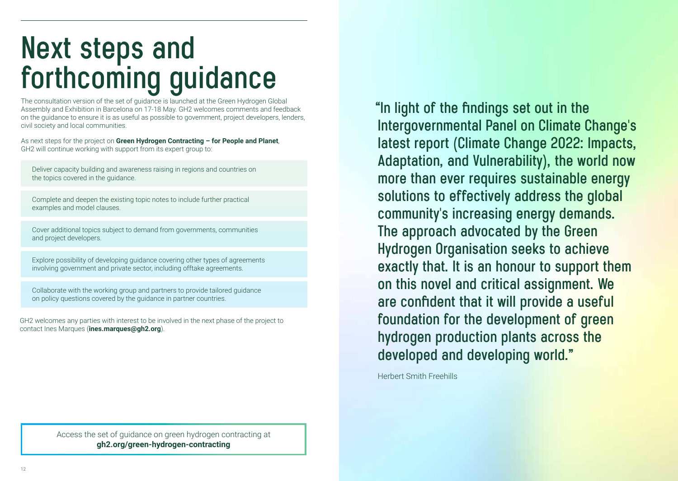# **Next steps and forthcoming guidance**

The consultation version of the set of guidance is launched at the Green Hydrogen Global Assembly and Exhibition in Barcelona on 17-18 May. GH2 welcomes comments and feedback on the guidance to ensure it is as useful as possible to government, project developers, lenders, civil society and local communities.

As next steps for the project on **Green Hydrogen Contracting – for People and Planet**, GH2 will continue working with support from its expert group to:

Deliver capacity building and awareness raising in regions and countries on the topics covered in the guidance.

Complete and deepen the existing topic notes to include further practical examples and model clauses.

Cover additional topics subject to demand from governments, communities and project developers.

Explore possibility of developing guidance covering other types of agreements involving government and private sector, including offtake agreements.

Collaborate with the working group and partners to provide tailored guidance on policy questions covered by the guidance in partner countries.

GH2 welcomes any parties with interest to be involved in the next phase of the project to contact Ines Marques (**ines.marques@gh2.org**).

> Access the set of guidance on green hydrogen contracting at **gh2.org/green-hydrogen-contracting**

 **"In light of the findings set out in the Intergovernmental Panel on Climate Change's latest report (Climate Change 2022: Impacts, Adaptation, and Vulnerability), the world now more than ever requires sustainable energy solutions to effectively address the global community's increasing energy demands. The approach advocated by the Green Hydrogen Organisation seeks to achieve exactly that. It is an honour to support them on this novel and critical assignment. We are confident that it will provide a useful foundation for the development of green hydrogen production plants across the developed and developing world."**

Herbert Smith Freehills